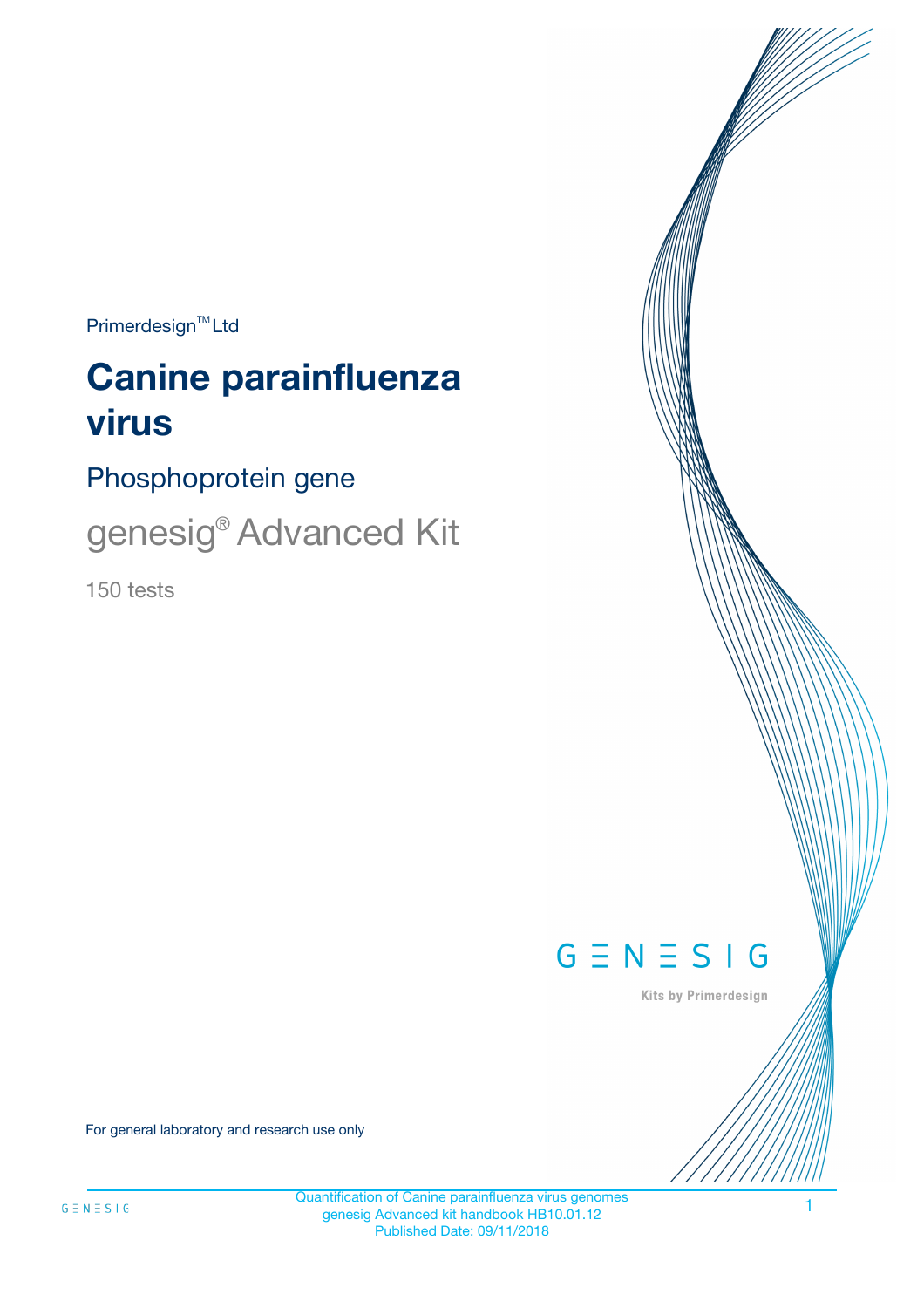$Primerdesign^{\text{TM}}Ltd$ 

# **Canine parainfluenza virus**

Phosphoprotein gene

genesig® Advanced Kit

150 tests



Kits by Primerdesign

For general laboratory and research use only

Quantification of Canine parainfluenza virus genomes genesig Advanced kit handbook HB10.01.12 Published Date: 09/11/2018

1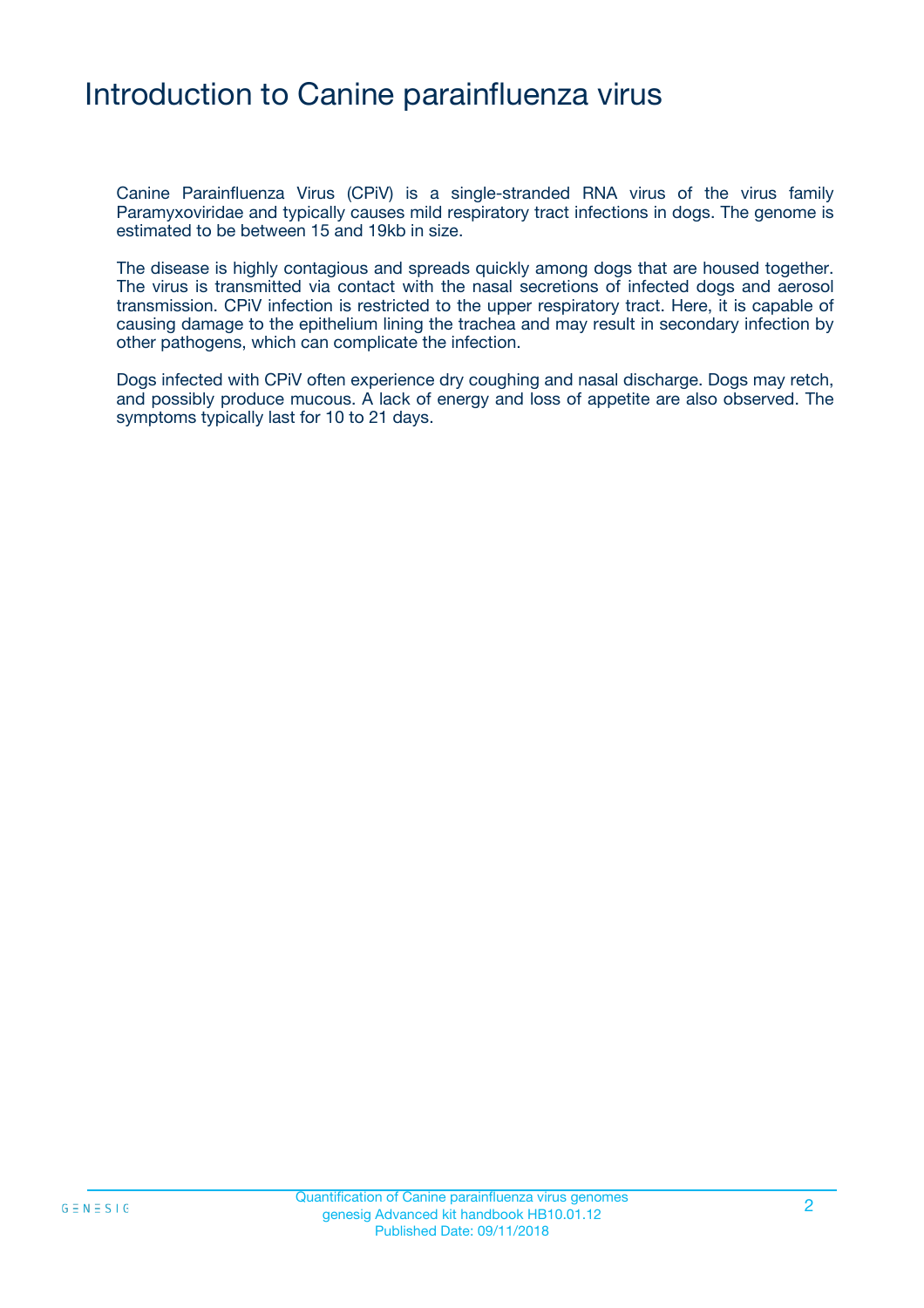### Introduction to Canine parainfluenza virus

Canine Parainfluenza Virus (CPiV) is a single-stranded RNA virus of the virus family Paramyxoviridae and typically causes mild respiratory tract infections in dogs. The genome is estimated to be between 15 and 19kb in size.

The disease is highly contagious and spreads quickly among dogs that are housed together. The virus is transmitted via contact with the nasal secretions of infected dogs and aerosol transmission. CPiV infection is restricted to the upper respiratory tract. Here, it is capable of causing damage to the epithelium lining the trachea and may result in secondary infection by other pathogens, which can complicate the infection.

Dogs infected with CPiV often experience dry coughing and nasal discharge. Dogs may retch, and possibly produce mucous. A lack of energy and loss of appetite are also observed. The symptoms typically last for 10 to 21 days.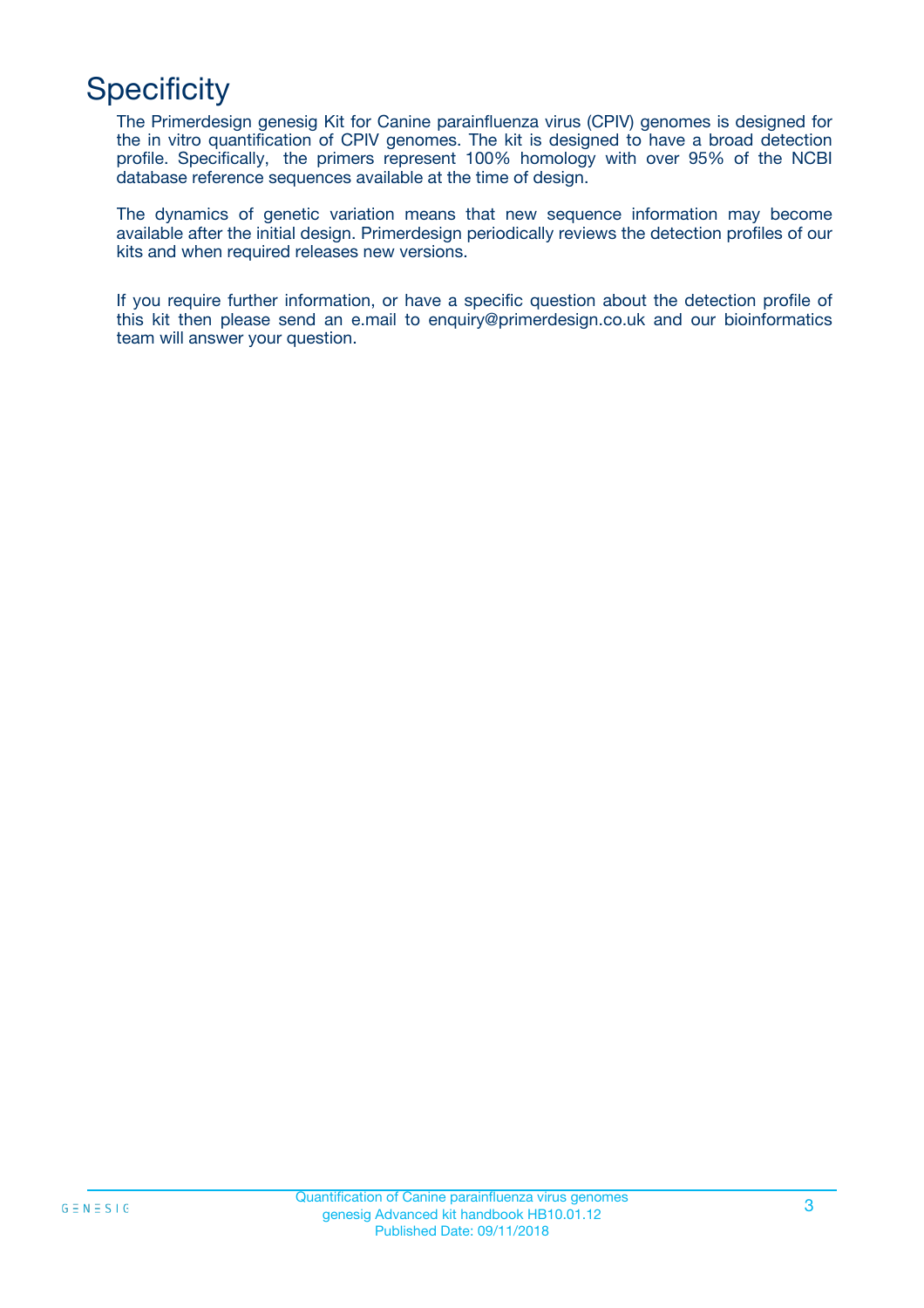## **Specificity**

The Primerdesign genesig Kit for Canine parainfluenza virus (CPIV) genomes is designed for the in vitro quantification of CPIV genomes. The kit is designed to have a broad detection profile. Specifically, the primers represent 100% homology with over 95% of the NCBI database reference sequences available at the time of design.

The dynamics of genetic variation means that new sequence information may become available after the initial design. Primerdesign periodically reviews the detection profiles of our kits and when required releases new versions.

If you require further information, or have a specific question about the detection profile of this kit then please send an e.mail to enquiry@primerdesign.co.uk and our bioinformatics team will answer your question.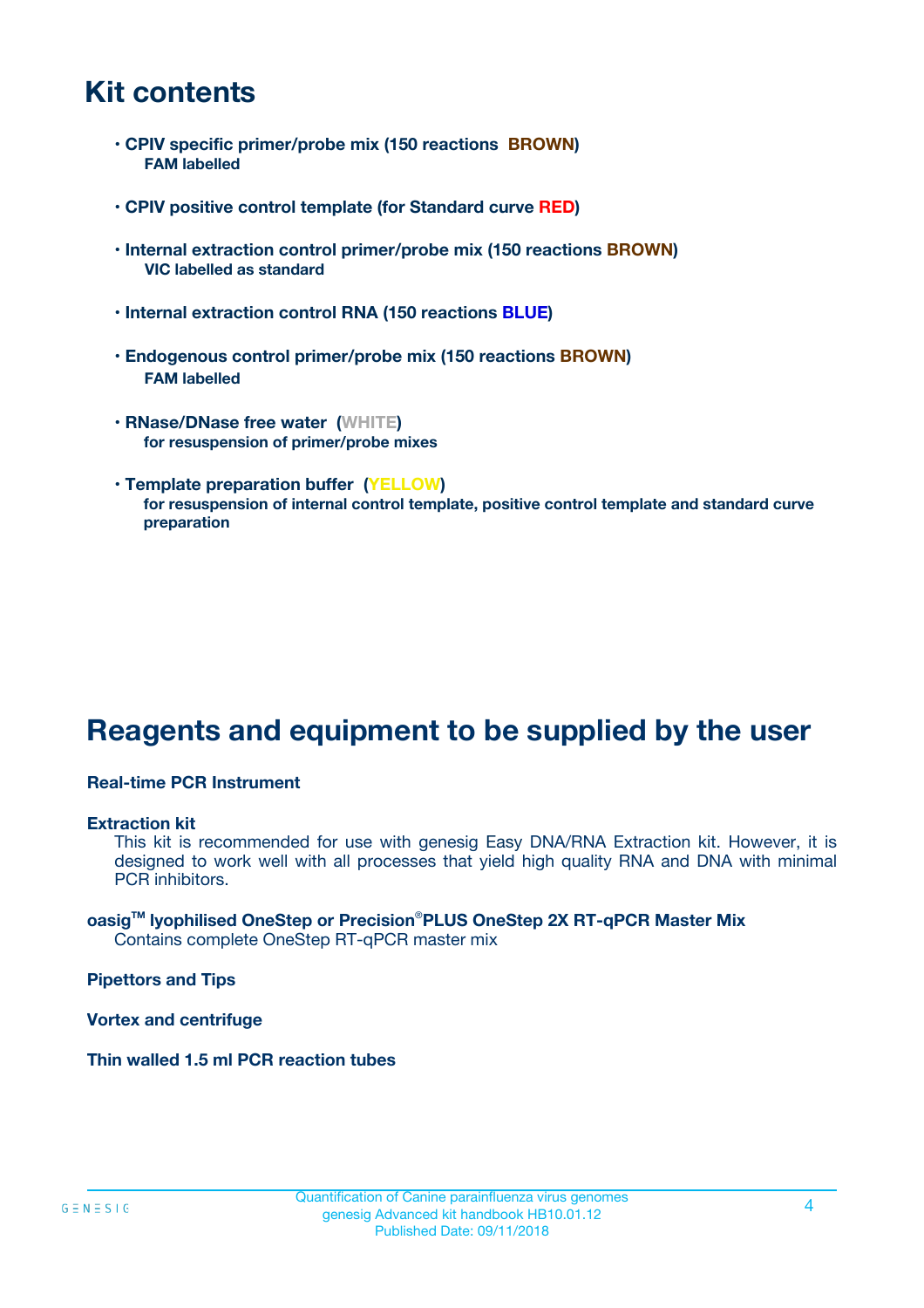### **Kit contents**

- **CPIV specific primer/probe mix (150 reactions BROWN) FAM labelled**
- **CPIV positive control template (for Standard curve RED)**
- **Internal extraction control primer/probe mix (150 reactions BROWN) VIC labelled as standard**
- **Internal extraction control RNA (150 reactions BLUE)**
- **Endogenous control primer/probe mix (150 reactions BROWN) FAM labelled**
- **RNase/DNase free water (WHITE) for resuspension of primer/probe mixes**
- **Template preparation buffer (YELLOW) for resuspension of internal control template, positive control template and standard curve preparation**

### **Reagents and equipment to be supplied by the user**

#### **Real-time PCR Instrument**

#### **Extraction kit**

This kit is recommended for use with genesig Easy DNA/RNA Extraction kit. However, it is designed to work well with all processes that yield high quality RNA and DNA with minimal PCR inhibitors.

#### **oasigTM lyophilised OneStep or Precision**®**PLUS OneStep 2X RT-qPCR Master Mix** Contains complete OneStep RT-qPCR master mix

**Pipettors and Tips**

**Vortex and centrifuge**

**Thin walled 1.5 ml PCR reaction tubes**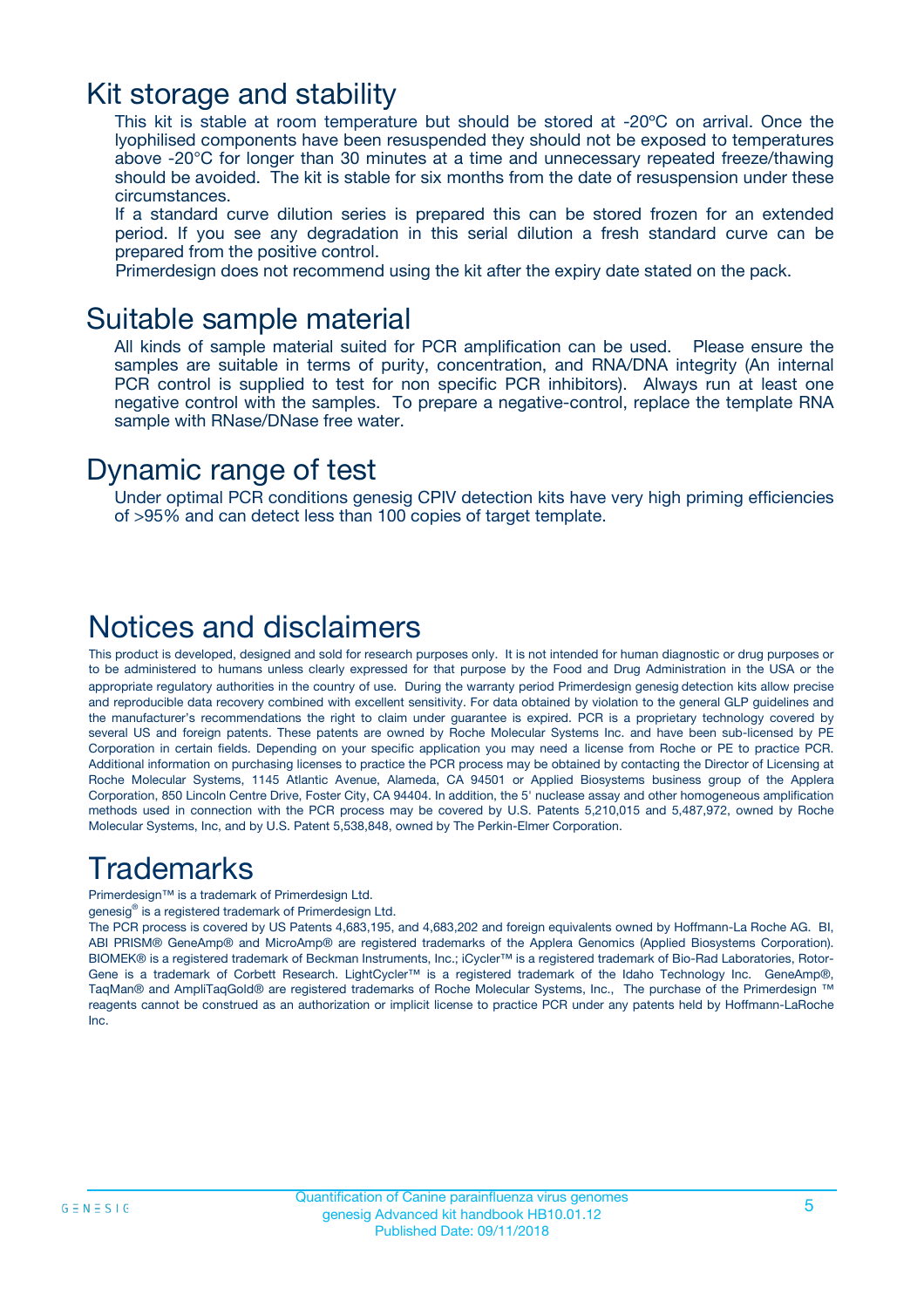### Kit storage and stability

This kit is stable at room temperature but should be stored at -20ºC on arrival. Once the lyophilised components have been resuspended they should not be exposed to temperatures above -20°C for longer than 30 minutes at a time and unnecessary repeated freeze/thawing should be avoided. The kit is stable for six months from the date of resuspension under these circumstances.

If a standard curve dilution series is prepared this can be stored frozen for an extended period. If you see any degradation in this serial dilution a fresh standard curve can be prepared from the positive control.

Primerdesign does not recommend using the kit after the expiry date stated on the pack.

### Suitable sample material

All kinds of sample material suited for PCR amplification can be used. Please ensure the samples are suitable in terms of purity, concentration, and RNA/DNA integrity (An internal PCR control is supplied to test for non specific PCR inhibitors). Always run at least one negative control with the samples. To prepare a negative-control, replace the template RNA sample with RNase/DNase free water.

### Dynamic range of test

Under optimal PCR conditions genesig CPIV detection kits have very high priming efficiencies of >95% and can detect less than 100 copies of target template.

### Notices and disclaimers

This product is developed, designed and sold for research purposes only. It is not intended for human diagnostic or drug purposes or to be administered to humans unless clearly expressed for that purpose by the Food and Drug Administration in the USA or the appropriate regulatory authorities in the country of use. During the warranty period Primerdesign genesig detection kits allow precise and reproducible data recovery combined with excellent sensitivity. For data obtained by violation to the general GLP guidelines and the manufacturer's recommendations the right to claim under guarantee is expired. PCR is a proprietary technology covered by several US and foreign patents. These patents are owned by Roche Molecular Systems Inc. and have been sub-licensed by PE Corporation in certain fields. Depending on your specific application you may need a license from Roche or PE to practice PCR. Additional information on purchasing licenses to practice the PCR process may be obtained by contacting the Director of Licensing at Roche Molecular Systems, 1145 Atlantic Avenue, Alameda, CA 94501 or Applied Biosystems business group of the Applera Corporation, 850 Lincoln Centre Drive, Foster City, CA 94404. In addition, the 5' nuclease assay and other homogeneous amplification methods used in connection with the PCR process may be covered by U.S. Patents 5,210,015 and 5,487,972, owned by Roche Molecular Systems, Inc, and by U.S. Patent 5,538,848, owned by The Perkin-Elmer Corporation.

### Trademarks

Primerdesign™ is a trademark of Primerdesign Ltd.

genesig® is a registered trademark of Primerdesign Ltd.

The PCR process is covered by US Patents 4,683,195, and 4,683,202 and foreign equivalents owned by Hoffmann-La Roche AG. BI, ABI PRISM® GeneAmp® and MicroAmp® are registered trademarks of the Applera Genomics (Applied Biosystems Corporation). BIOMEK® is a registered trademark of Beckman Instruments, Inc.; iCycler™ is a registered trademark of Bio-Rad Laboratories, Rotor-Gene is a trademark of Corbett Research. LightCycler™ is a registered trademark of the Idaho Technology Inc. GeneAmp®, TaqMan® and AmpliTaqGold® are registered trademarks of Roche Molecular Systems, Inc., The purchase of the Primerdesign ™ reagents cannot be construed as an authorization or implicit license to practice PCR under any patents held by Hoffmann-LaRoche Inc.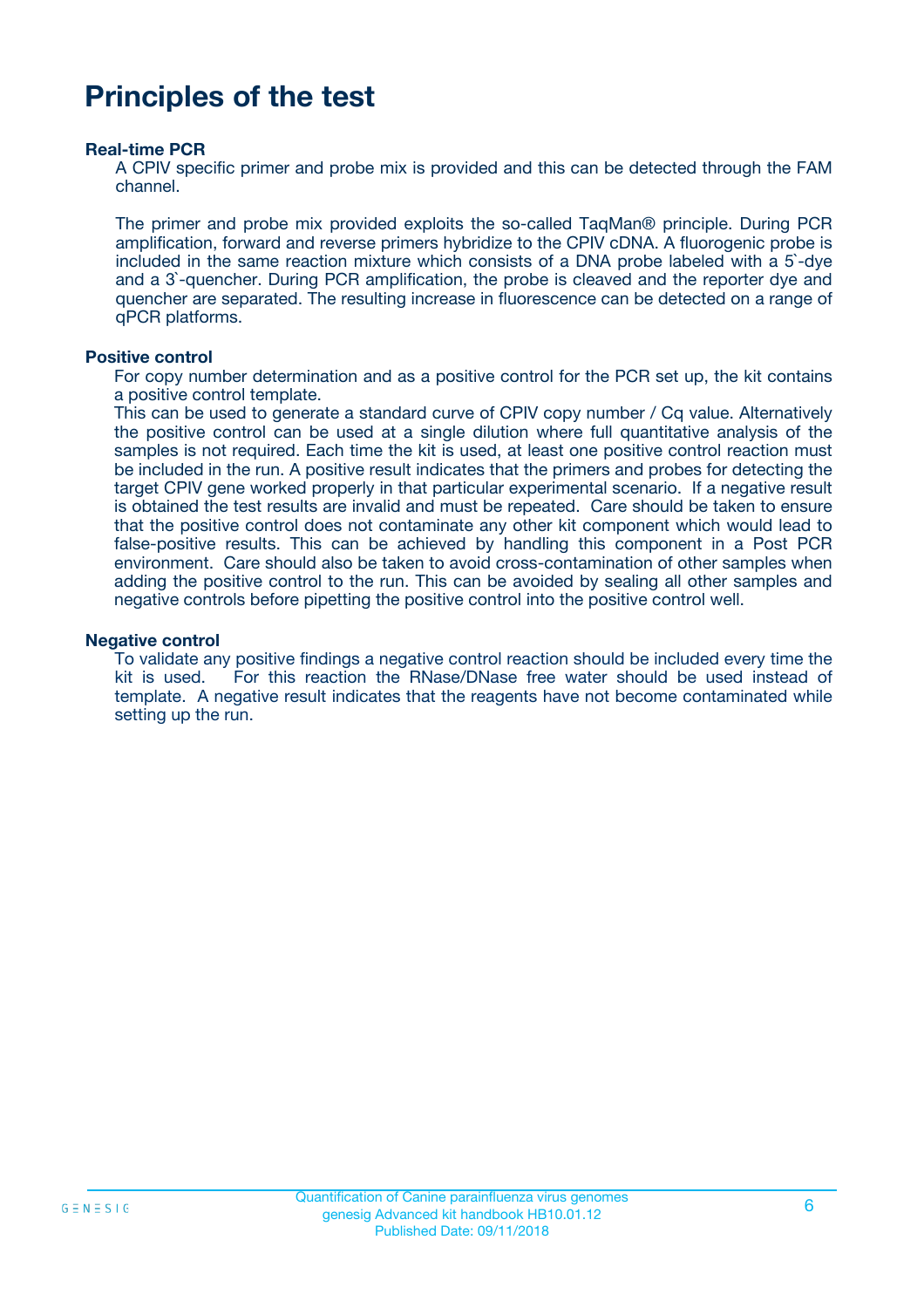### **Principles of the test**

#### **Real-time PCR**

A CPIV specific primer and probe mix is provided and this can be detected through the FAM channel.

The primer and probe mix provided exploits the so-called TaqMan® principle. During PCR amplification, forward and reverse primers hybridize to the CPIV cDNA. A fluorogenic probe is included in the same reaction mixture which consists of a DNA probe labeled with a 5`-dye and a 3`-quencher. During PCR amplification, the probe is cleaved and the reporter dye and quencher are separated. The resulting increase in fluorescence can be detected on a range of qPCR platforms.

#### **Positive control**

For copy number determination and as a positive control for the PCR set up, the kit contains a positive control template.

This can be used to generate a standard curve of CPIV copy number / Cq value. Alternatively the positive control can be used at a single dilution where full quantitative analysis of the samples is not required. Each time the kit is used, at least one positive control reaction must be included in the run. A positive result indicates that the primers and probes for detecting the target CPIV gene worked properly in that particular experimental scenario. If a negative result is obtained the test results are invalid and must be repeated. Care should be taken to ensure that the positive control does not contaminate any other kit component which would lead to false-positive results. This can be achieved by handling this component in a Post PCR environment. Care should also be taken to avoid cross-contamination of other samples when adding the positive control to the run. This can be avoided by sealing all other samples and negative controls before pipetting the positive control into the positive control well.

#### **Negative control**

To validate any positive findings a negative control reaction should be included every time the kit is used. For this reaction the RNase/DNase free water should be used instead of template. A negative result indicates that the reagents have not become contaminated while setting up the run.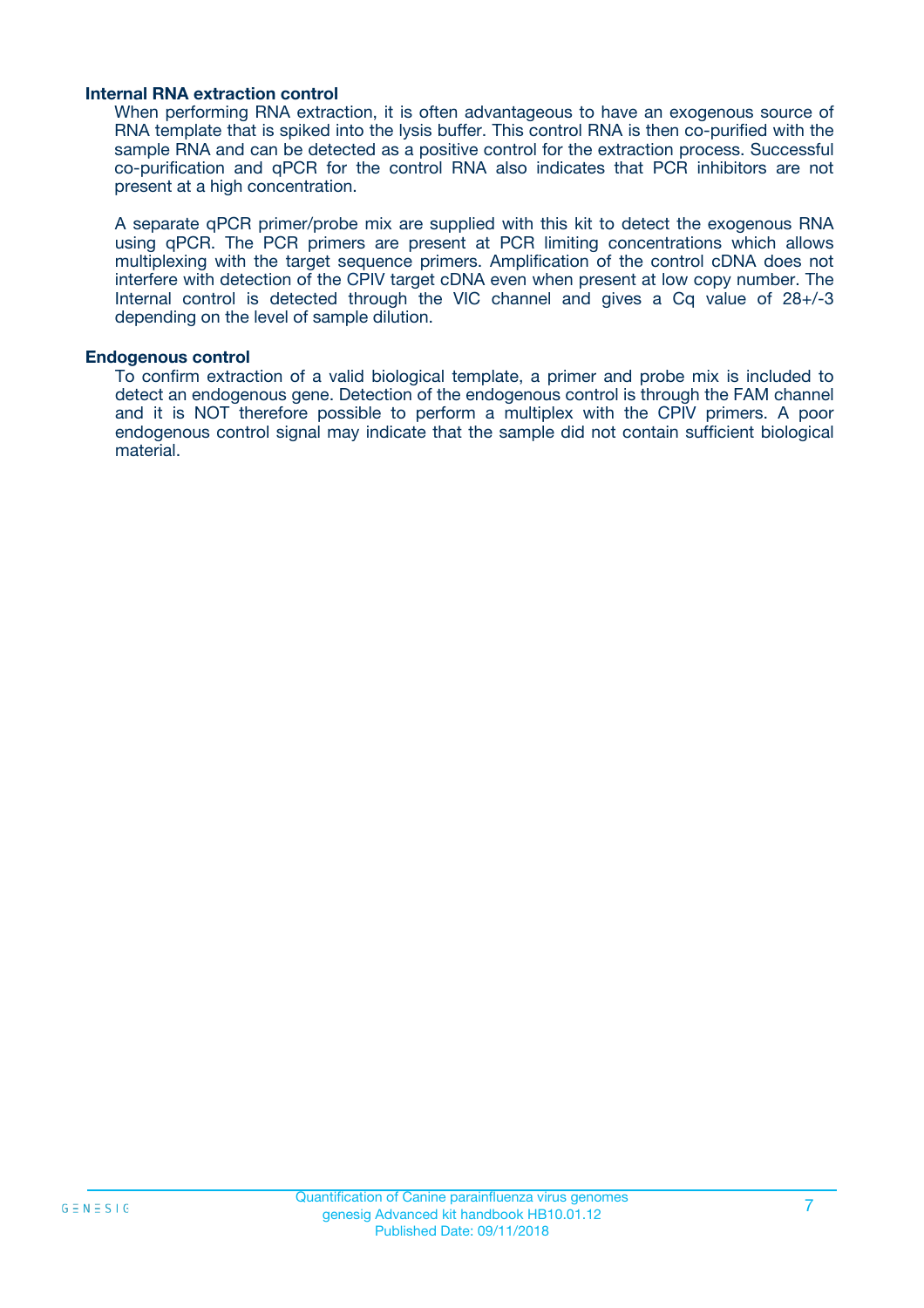#### **Internal RNA extraction control**

When performing RNA extraction, it is often advantageous to have an exogenous source of RNA template that is spiked into the lysis buffer. This control RNA is then co-purified with the sample RNA and can be detected as a positive control for the extraction process. Successful co-purification and qPCR for the control RNA also indicates that PCR inhibitors are not present at a high concentration.

A separate qPCR primer/probe mix are supplied with this kit to detect the exogenous RNA using qPCR. The PCR primers are present at PCR limiting concentrations which allows multiplexing with the target sequence primers. Amplification of the control cDNA does not interfere with detection of the CPIV target cDNA even when present at low copy number. The Internal control is detected through the VIC channel and gives a Cq value of 28+/-3 depending on the level of sample dilution.

#### **Endogenous control**

To confirm extraction of a valid biological template, a primer and probe mix is included to detect an endogenous gene. Detection of the endogenous control is through the FAM channel and it is NOT therefore possible to perform a multiplex with the CPIV primers. A poor endogenous control signal may indicate that the sample did not contain sufficient biological material.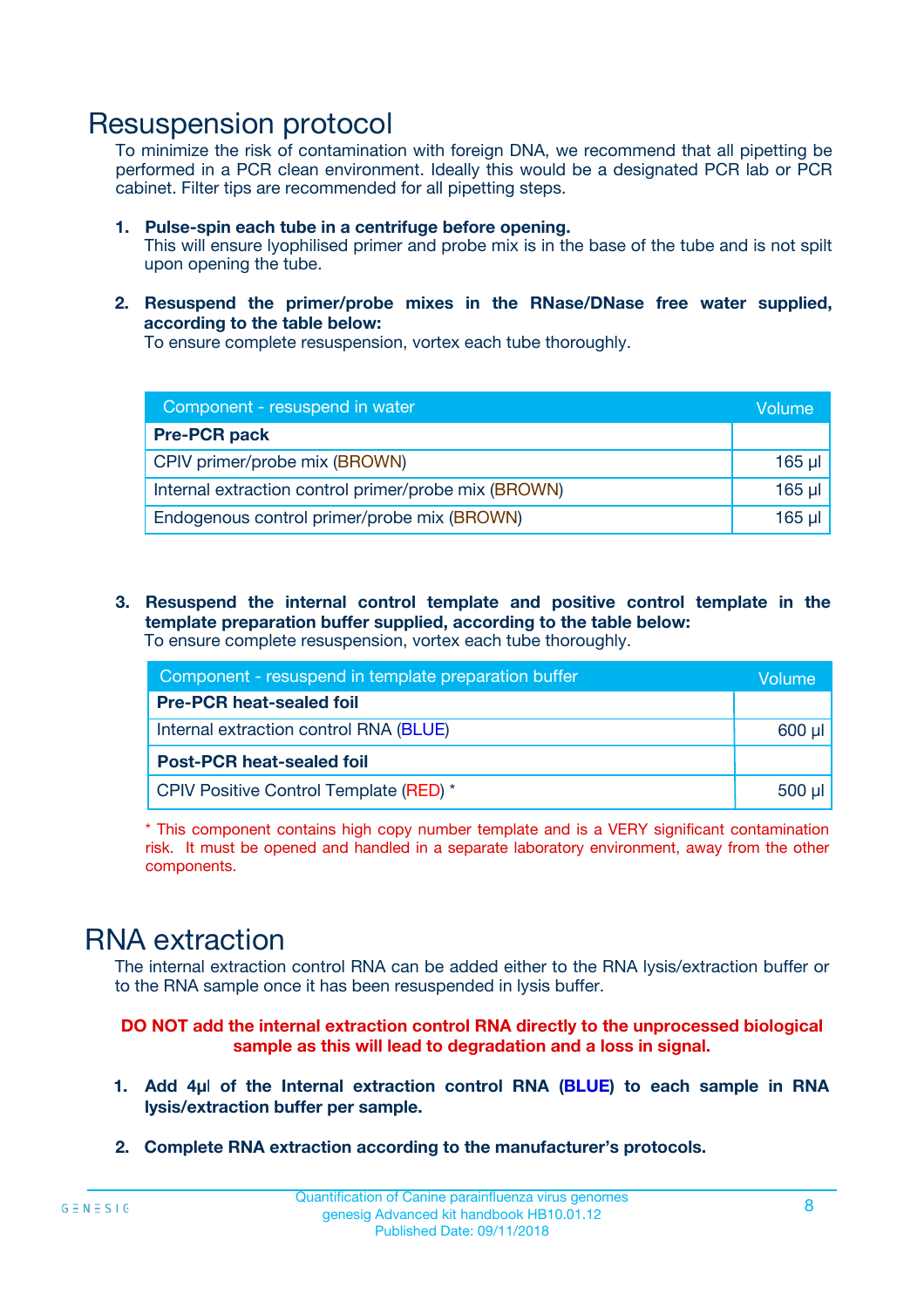### Resuspension protocol

To minimize the risk of contamination with foreign DNA, we recommend that all pipetting be performed in a PCR clean environment. Ideally this would be a designated PCR lab or PCR cabinet. Filter tips are recommended for all pipetting steps.

- **1. Pulse-spin each tube in a centrifuge before opening.** This will ensure lyophilised primer and probe mix is in the base of the tube and is not spilt upon opening the tube.
- **2. Resuspend the primer/probe mixes in the RNase/DNase free water supplied, according to the table below:**

To ensure complete resuspension, vortex each tube thoroughly.

| Component - resuspend in water                       | Volume   |
|------------------------------------------------------|----------|
| <b>Pre-PCR pack</b>                                  |          |
| CPIV primer/probe mix (BROWN)                        | $165$ µl |
| Internal extraction control primer/probe mix (BROWN) | $165$ µl |
| Endogenous control primer/probe mix (BROWN)          | 165 µl   |

**3. Resuspend the internal control template and positive control template in the template preparation buffer supplied, according to the table below:** To ensure complete resuspension, vortex each tube thoroughly.

| Component - resuspend in template preparation buffer |             |  |  |
|------------------------------------------------------|-------------|--|--|
| <b>Pre-PCR heat-sealed foil</b>                      |             |  |  |
| Internal extraction control RNA (BLUE)               |             |  |  |
| <b>Post-PCR heat-sealed foil</b>                     |             |  |  |
| CPIV Positive Control Template (RED) *               | $500$ $\mu$ |  |  |

\* This component contains high copy number template and is a VERY significant contamination risk. It must be opened and handled in a separate laboratory environment, away from the other components.

### RNA extraction

The internal extraction control RNA can be added either to the RNA lysis/extraction buffer or to the RNA sample once it has been resuspended in lysis buffer.

#### **DO NOT add the internal extraction control RNA directly to the unprocessed biological sample as this will lead to degradation and a loss in signal.**

- **1. Add 4µ**l **of the Internal extraction control RNA (BLUE) to each sample in RNA lysis/extraction buffer per sample.**
- **2. Complete RNA extraction according to the manufacturer's protocols.**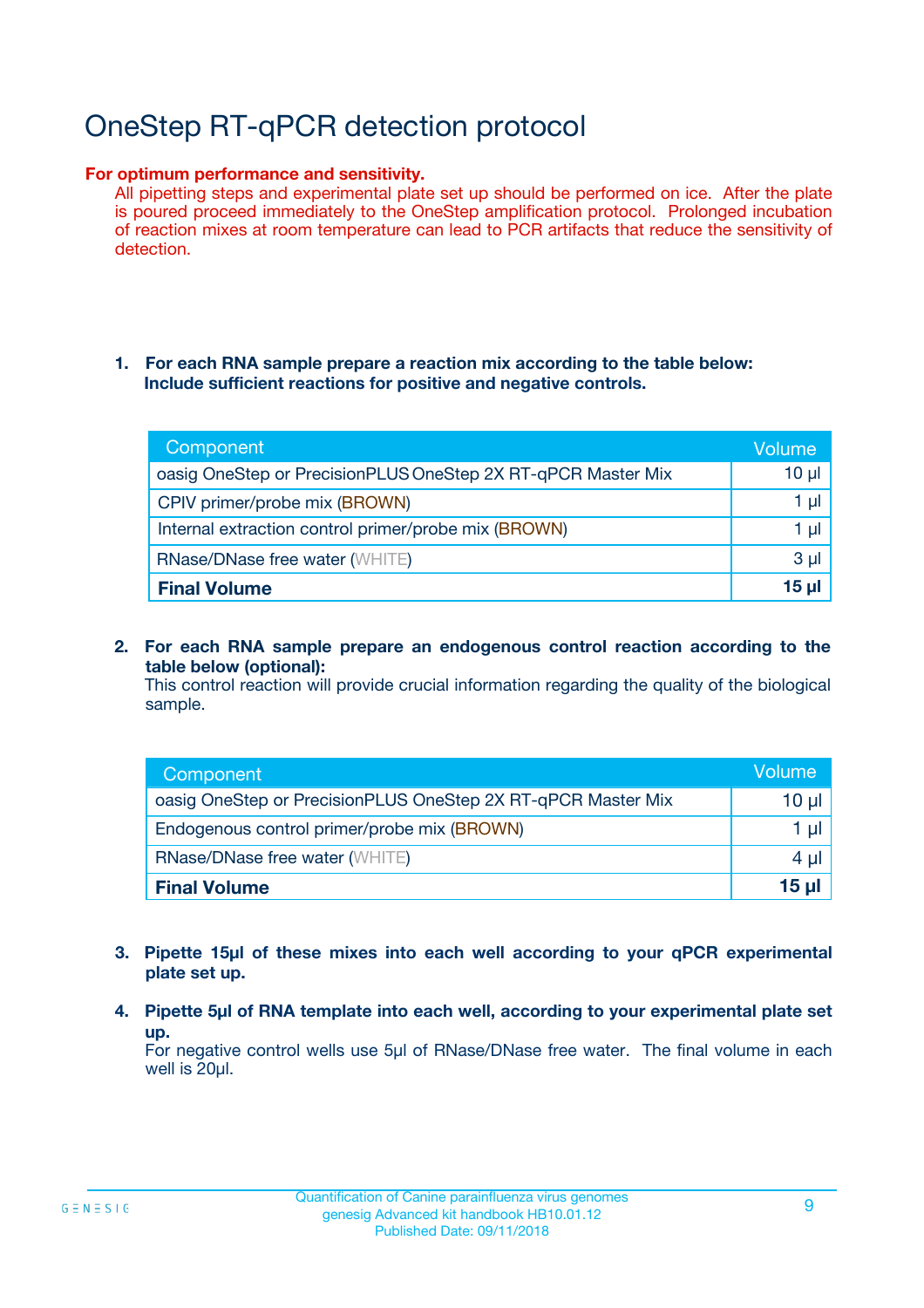# OneStep RT-qPCR detection protocol

#### **For optimum performance and sensitivity.**

All pipetting steps and experimental plate set up should be performed on ice. After the plate is poured proceed immediately to the OneStep amplification protocol. Prolonged incubation of reaction mixes at room temperature can lead to PCR artifacts that reduce the sensitivity of detection.

#### **1. For each RNA sample prepare a reaction mix according to the table below: Include sufficient reactions for positive and negative controls.**

| Component                                                    | <b>Volume</b> |
|--------------------------------------------------------------|---------------|
| oasig OneStep or PrecisionPLUS OneStep 2X RT-qPCR Master Mix | $10 \mu$      |
| CPIV primer/probe mix (BROWN)                                | 1 µI          |
| Internal extraction control primer/probe mix (BROWN)         | 1 µl          |
| <b>RNase/DNase free water (WHITE)</b>                        | $3 \mu$       |
| <b>Final Volume</b>                                          | 15 µl         |

**2. For each RNA sample prepare an endogenous control reaction according to the table below (optional):**

This control reaction will provide crucial information regarding the quality of the biological sample.

| Component                                                    | Volume          |
|--------------------------------------------------------------|-----------------|
| oasig OneStep or PrecisionPLUS OneStep 2X RT-qPCR Master Mix | 10 µl           |
| Endogenous control primer/probe mix (BROWN)                  | 1 µl            |
| <b>RNase/DNase free water (WHITE)</b>                        | $4 \mu$         |
| <b>Final Volume</b>                                          | $15$ µl $\vert$ |

- **3. Pipette 15µl of these mixes into each well according to your qPCR experimental plate set up.**
- **4. Pipette 5µl of RNA template into each well, according to your experimental plate set up.**

For negative control wells use 5µl of RNase/DNase free water. The final volume in each well is 20µl.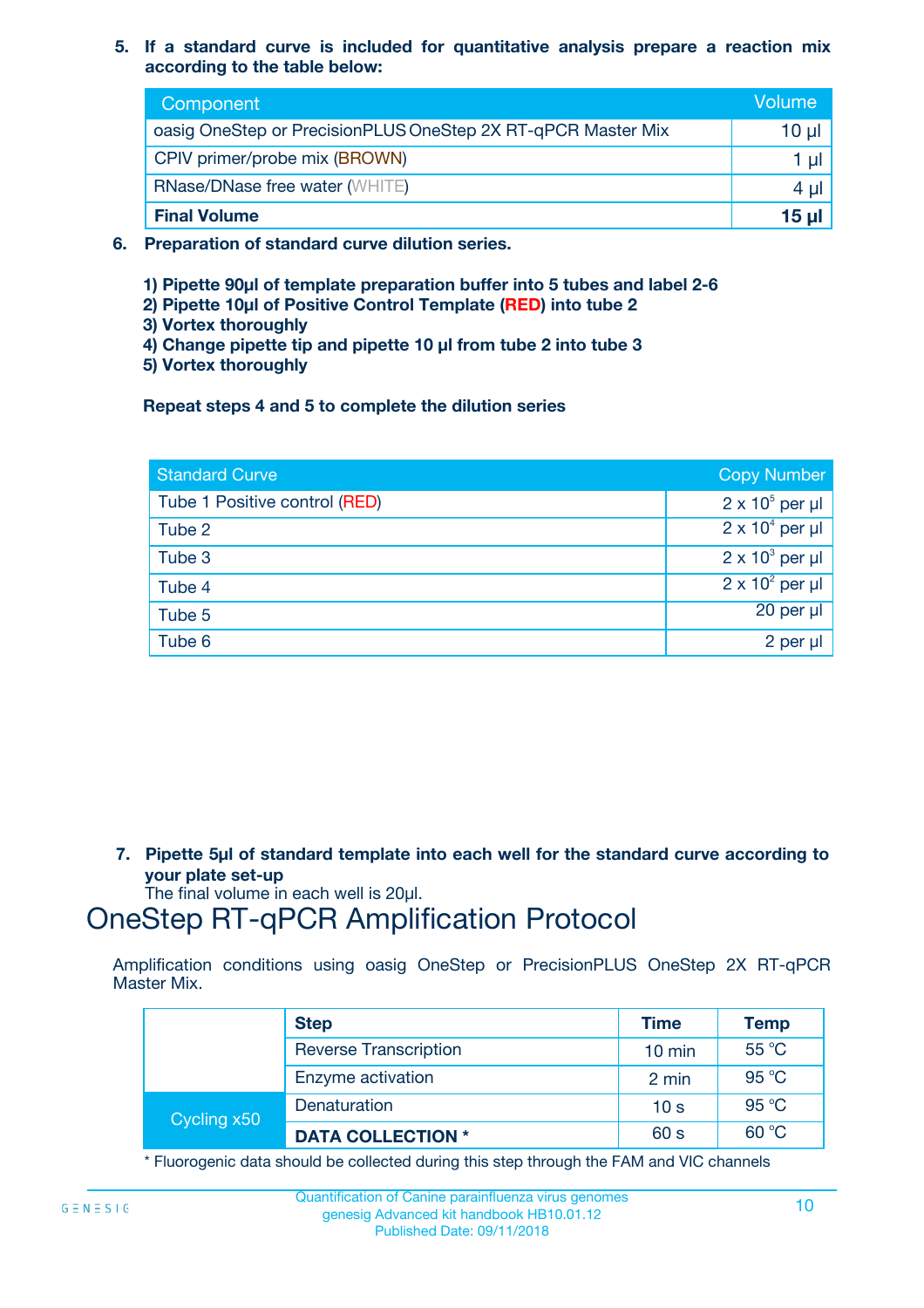**5. If a standard curve is included for quantitative analysis prepare a reaction mix according to the table below:**

| Component                                                    | Volume       |
|--------------------------------------------------------------|--------------|
| oasig OneStep or PrecisionPLUS OneStep 2X RT-qPCR Master Mix | 10 µl        |
| CPIV primer/probe mix (BROWN)                                |              |
| <b>RNase/DNase free water (WHITE)</b>                        | 4 U          |
| <b>Final Volume</b>                                          | <u>15 µl</u> |

- **6. Preparation of standard curve dilution series.**
	- **1) Pipette 90µl of template preparation buffer into 5 tubes and label 2-6**
	- **2) Pipette 10µl of Positive Control Template (RED) into tube 2**
	- **3) Vortex thoroughly**
	- **4) Change pipette tip and pipette 10 µl from tube 2 into tube 3**
	- **5) Vortex thoroughly**

**Repeat steps 4 and 5 to complete the dilution series**

| <b>Standard Curve</b>         | <b>Copy Number</b>     |
|-------------------------------|------------------------|
| Tube 1 Positive control (RED) | $2 \times 10^5$ per µl |
| Tube 2                        | $2 \times 10^4$ per µl |
| Tube 3                        | $2 \times 10^3$ per µl |
| Tube 4                        | $2 \times 10^2$ per µl |
| Tube 5                        | 20 per µl              |
| Tube 6                        | 2 per µl               |

**7. Pipette 5µl of standard template into each well for the standard curve according to your plate set-up**

The final volume in each well is 20µl.

### OneStep RT-qPCR Amplification Protocol

Amplification conditions using oasig OneStep or PrecisionPLUS OneStep 2X RT-qPCR Master Mix.

|             | <b>Step</b>                  | <b>Time</b>      | <b>Temp</b> |
|-------------|------------------------------|------------------|-------------|
|             | <b>Reverse Transcription</b> | $10 \text{ min}$ | 55 °C       |
|             | Enzyme activation            | 2 min            | 95 °C       |
| Cycling x50 | Denaturation                 | 10 <sub>s</sub>  | 95 °C       |
|             | <b>DATA COLLECTION *</b>     | 60 s             | 60 °C       |

\* Fluorogenic data should be collected during this step through the FAM and VIC channels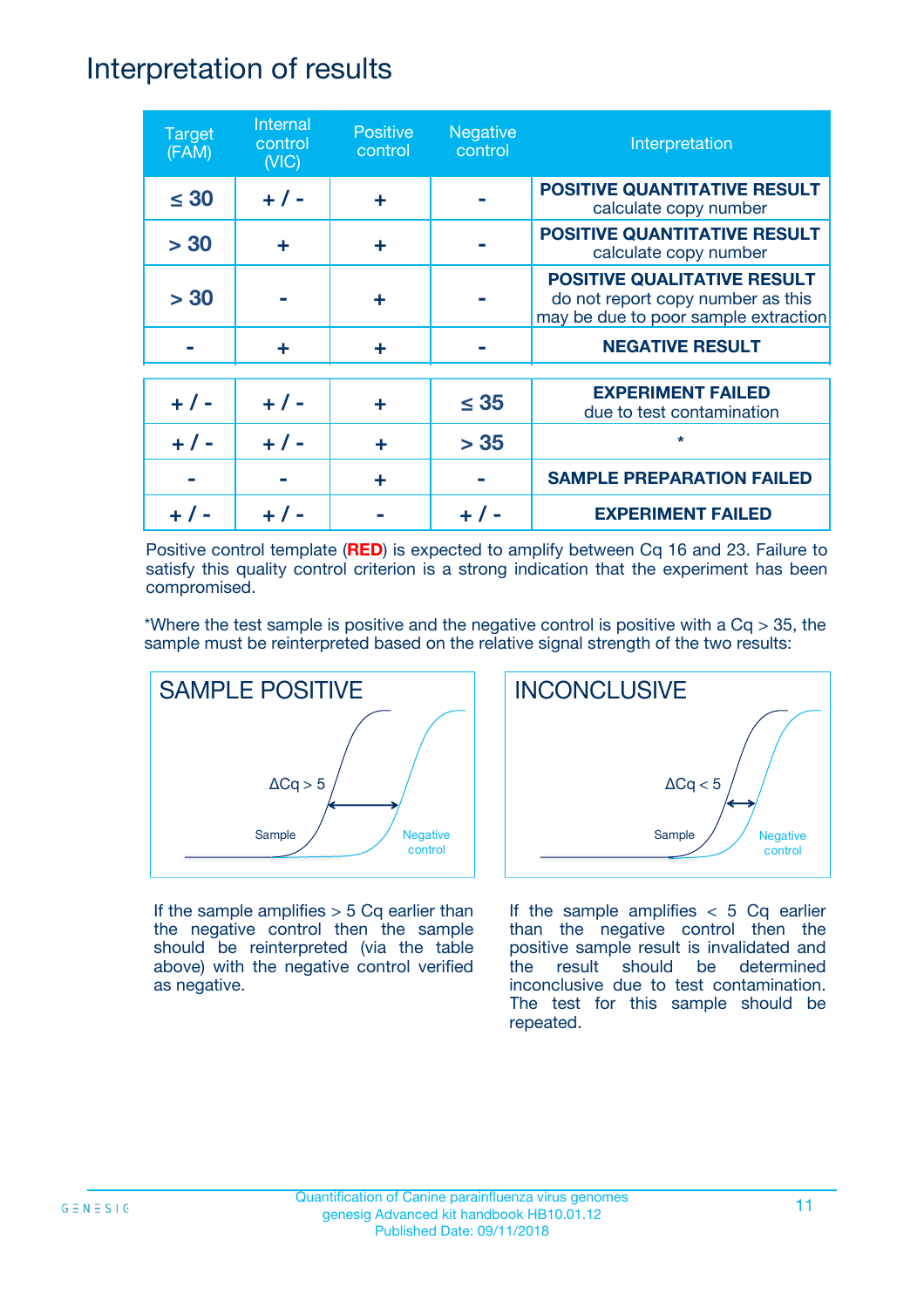### Interpretation of results

| <b>Target</b><br>(FAM) | Internal<br>control<br>(NIC) | <b>Positive</b><br>control | <b>Negative</b><br>control | Interpretation                                                                                                  |
|------------------------|------------------------------|----------------------------|----------------------------|-----------------------------------------------------------------------------------------------------------------|
| $\leq 30$              | $+ 1 -$                      | ÷                          |                            | <b>POSITIVE QUANTITATIVE RESULT</b><br>calculate copy number                                                    |
| > 30                   | ÷                            | ÷                          |                            | <b>POSITIVE QUANTITATIVE RESULT</b><br>calculate copy number                                                    |
| > 30                   |                              | ÷                          |                            | <b>POSITIVE QUALITATIVE RESULT</b><br>do not report copy number as this<br>may be due to poor sample extraction |
|                        | ÷                            | ÷                          |                            | <b>NEGATIVE RESULT</b>                                                                                          |
| $+ 1 -$                | $+ 1 -$                      | ÷                          | $\leq$ 35                  | <b>EXPERIMENT FAILED</b><br>due to test contamination                                                           |
|                        | $+ 1 -$                      |                            | > 35                       | $\star$                                                                                                         |
|                        |                              | ÷                          |                            | <b>SAMPLE PREPARATION FAILED</b>                                                                                |
|                        |                              |                            |                            | <b>EXPERIMENT FAILED</b>                                                                                        |

Positive control template (**RED**) is expected to amplify between Cq 16 and 23. Failure to satisfy this quality control criterion is a strong indication that the experiment has been compromised.

\*Where the test sample is positive and the negative control is positive with a  $Cq > 35$ , the sample must be reinterpreted based on the relative signal strength of the two results:



If the sample amplifies  $> 5$  Cq earlier than the negative control then the sample should be reinterpreted (via the table above) with the negative control verified as negative.



If the sample amplifies  $< 5$  Cq earlier than the negative control then the positive sample result is invalidated and the result should be determined inconclusive due to test contamination. The test for this sample should be repeated.